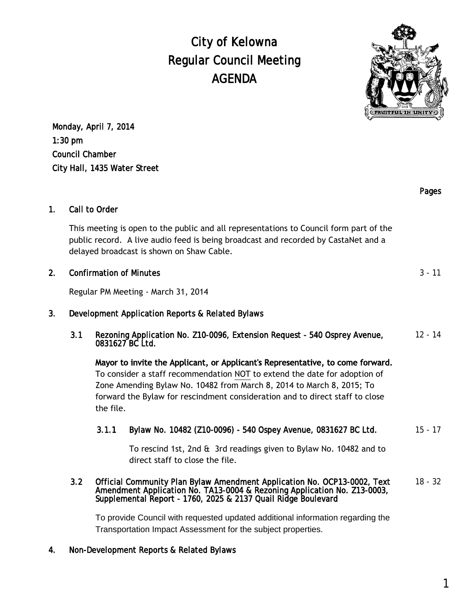# City of Kelowna Regular Council Meeting AGENDA



Monday, April 7, 2014 1:30 pm Council Chamber City Hall, 1435 Water Street

|                |                                                                                                                                                                                                                           |                                                                                                                                                                                                                                                                                                                                   |                                                                                                       | Pages     |
|----------------|---------------------------------------------------------------------------------------------------------------------------------------------------------------------------------------------------------------------------|-----------------------------------------------------------------------------------------------------------------------------------------------------------------------------------------------------------------------------------------------------------------------------------------------------------------------------------|-------------------------------------------------------------------------------------------------------|-----------|
| 1 <sub>1</sub> | Call to Order                                                                                                                                                                                                             |                                                                                                                                                                                                                                                                                                                                   |                                                                                                       |           |
|                | This meeting is open to the public and all representations to Council form part of the<br>public record. A live audio feed is being broadcast and recorded by CastaNet and a<br>delayed broadcast is shown on Shaw Cable. |                                                                                                                                                                                                                                                                                                                                   |                                                                                                       |           |
| 2.             | <b>Confirmation of Minutes</b>                                                                                                                                                                                            |                                                                                                                                                                                                                                                                                                                                   |                                                                                                       | $3 - 11$  |
|                | Regular PM Meeting - March 31, 2014                                                                                                                                                                                       |                                                                                                                                                                                                                                                                                                                                   |                                                                                                       |           |
| 3.             | Development Application Reports & Related Bylaws                                                                                                                                                                          |                                                                                                                                                                                                                                                                                                                                   |                                                                                                       |           |
|                | 3.1                                                                                                                                                                                                                       | Rezoning Application No. Z10-0096, Extension Request - 540 Osprey Avenue,<br>0831627 BC Ltd.                                                                                                                                                                                                                                      |                                                                                                       | $12 - 14$ |
|                |                                                                                                                                                                                                                           | Mayor to invite the Applicant, or Applicant's Representative, to come forward.<br>To consider a staff recommendation NOT to extend the date for adoption of<br>Zone Amending Bylaw No. 10482 from March 8, 2014 to March 8, 2015; To<br>forward the Bylaw for rescindment consideration and to direct staff to close<br>the file. |                                                                                                       |           |
|                |                                                                                                                                                                                                                           | 3.1.1                                                                                                                                                                                                                                                                                                                             | Bylaw No. 10482 (Z10-0096) - 540 Ospey Avenue, 0831627 BC Ltd.                                        | $15 - 17$ |
|                |                                                                                                                                                                                                                           |                                                                                                                                                                                                                                                                                                                                   | To rescind 1st, 2nd & 3rd readings given to Bylaw No. 10482 and to<br>direct staff to close the file. |           |
|                | 3.2                                                                                                                                                                                                                       | Official Community Plan Bylaw Amendment Application No. OCP13-0002, Text<br>Amendment Application No. TA13-0004 & Rezoning Application No. Z13-0003,<br>Supplemental Report - 1760, 2025 & 2137 Quail Ridge Boulevard                                                                                                             |                                                                                                       |           |
|                |                                                                                                                                                                                                                           | To provide Council with requested updated additional information regarding the<br>Transportation Impact Assessment for the subject properties.                                                                                                                                                                                    |                                                                                                       |           |

## 4. Non-Development Reports & Related Bylaws